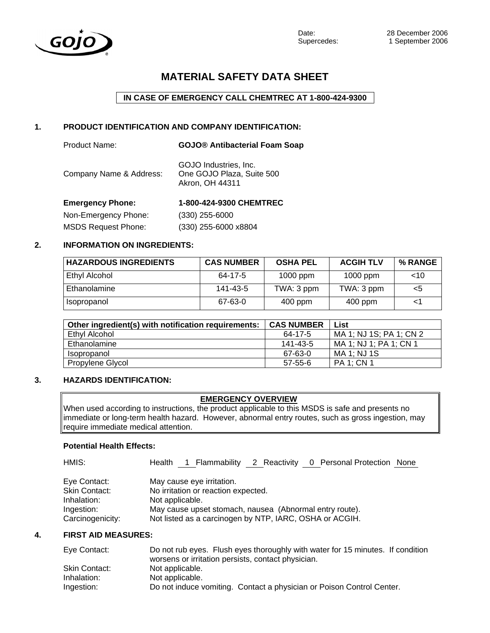

# **MATERIAL SAFETY DATA SHEET**

**IN CASE OF EMERGENCY CALL CHEMTREC AT 1-800-424-9300** 

## **1. PRODUCT IDENTIFICATION AND COMPANY IDENTIFICATION:**

| Product Name:           | <b>GOJO® Antibacterial Foam Soap</b>                                  |
|-------------------------|-----------------------------------------------------------------------|
| Company Name & Address: | GOJO Industries, Inc.<br>One GOJO Plaza, Suite 500<br>Akron, OH 44311 |
| <b>Emergency Phone:</b> | 1-800-424-9300 CHEMTREC                                               |

| Non-Emergency Phone:       | $(330)$ 255-6000     |
|----------------------------|----------------------|
| <b>MSDS Request Phone:</b> | (330) 255-6000 x8804 |

## **2. INFORMATION ON INGREDIENTS:**

| <b>HAZARDOUS INGREDIENTS</b> | <b>CAS NUMBER</b> | <b>OSHA PEL</b> | <b>ACGIH TLV</b> | % RANGE |
|------------------------------|-------------------|-----------------|------------------|---------|
| <b>Ethyl Alcohol</b>         | 64-17-5           | $1000$ ppm      | 1000 ppm         | ~10     |
| Ethanolamine                 | 141-43-5          | TWA: 3 ppm      | TWA: 3 ppm       | <5      |
| Isopropanol                  | 67-63-0           | 400 ppm         | $400$ ppm        | <1      |

| Other ingredient(s) with notification requirements: | <b>CAS NUMBER</b> | List                    |
|-----------------------------------------------------|-------------------|-------------------------|
| Ethyl Alcohol                                       | 64-17-5           | MA 1; NJ 1S; PA 1; CN 2 |
| Ethanolamine                                        | 141-43-5          | MA 1; NJ 1; PA 1; CN 1  |
| Isopropanol                                         | 67-63-0           | MA 1: NJ 1S             |
| Propylene Glycol                                    | $57 - 55 - 6$     | <b>PA 1: CN 1</b>       |

# **3. HAZARDS IDENTIFICATION:**

#### **EMERGENCY OVERVIEW**

When used according to instructions, the product applicable to this MSDS is safe and presents no immediate or long-term health hazard. However, abnormal entry routes, such as gross ingestion, may require immediate medical attention.

## **Potential Health Effects:**

| HMIS:                                               | 1 Flammability 2 Reactivity 0 Personal Protection None<br>Health                    |  |
|-----------------------------------------------------|-------------------------------------------------------------------------------------|--|
| Eye Contact:<br><b>Skin Contact:</b><br>Inhalation: | May cause eye irritation.<br>No irritation or reaction expected.<br>Not applicable. |  |
| Ingestion:                                          | May cause upset stomach, nausea (Abnormal entry route).                             |  |
| Carcinogenicity:                                    | Not listed as a carcinogen by NTP, IARC, OSHA or ACGIH.                             |  |

#### **4. FIRST AID MEASURES:**

| Eye Contact:  | Do not rub eyes. Flush eyes thoroughly with water for 15 minutes. If condition |
|---------------|--------------------------------------------------------------------------------|
|               | worsens or irritation persists, contact physician.                             |
| Skin Contact: | Not applicable.                                                                |
| Inhalation:   | Not applicable.                                                                |
| Ingestion:    | Do not induce vomiting. Contact a physician or Poison Control Center.          |